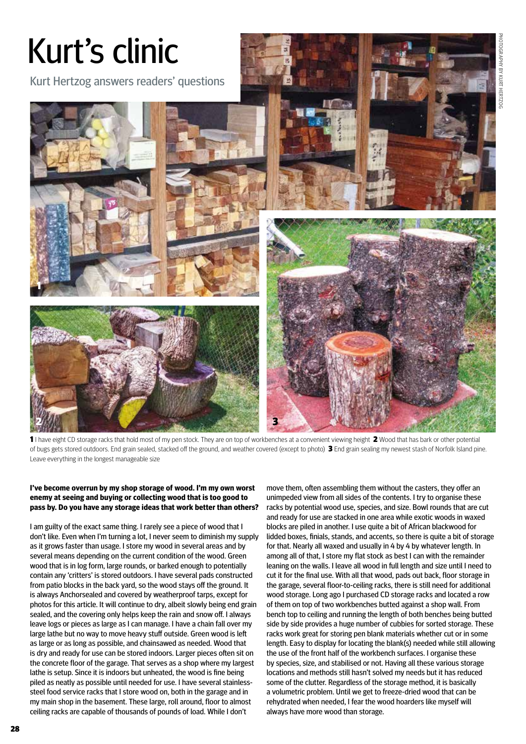

1 I have eight CD storage racks that hold most of my pen stock. They are on top of workbenches at a convenient viewing height 2 Wood that has bark or other potential of bugs gets stored outdoors. End grain sealed, stacked off the ground, and weather covered (except to photo) 3 End grain sealing my newest stash of Norfolk Island pine. Leave everything in the longest manageable size

## **I've become overrun by my shop storage of wood. I'm my own worst enemy at seeing and buying or collecting wood that is too good to pass by. Do you have any storage ideas that work better than others?**

I am guilty of the exact same thing. I rarely see a piece of wood that I don't like. Even when I'm turning a lot, I never seem to diminish my supply as it grows faster than usage. I store my wood in several areas and by several means depending on the current condition of the wood. Green wood that is in log form, large rounds, or barked enough to potentially contain any 'critters' is stored outdoors. I have several pads constructed from patio blocks in the back yard, so the wood stays off the ground. It is always Anchorsealed and covered by weatherproof tarps, except for photos for this article. It will continue to dry, albeit slowly being end grain sealed, and the covering only helps keep the rain and snow off. I always leave logs or pieces as large as I can manage. I have a chain fall over my large lathe but no way to move heavy stuff outside. Green wood is left as large or as long as possible, and chainsawed as needed. Wood that is dry and ready for use can be stored indoors. Larger pieces often sit on the concrete floor of the garage. That serves as a shop where my largest lathe is setup. Since it is indoors but unheated, the wood is fine being piled as neatly as possible until needed for use. I have several stainlesssteel food service racks that I store wood on, both in the garage and in my main shop in the basement. These large, roll around, floor to almost ceiling racks are capable of thousands of pounds of load. While I don't

move them, often assembling them without the casters, they offer an unimpeded view from all sides of the contents. I try to organise these racks by potential wood use, species, and size. Bowl rounds that are cut and ready for use are stacked in one area while exotic woods in waxed blocks are piled in another. I use quite a bit of African blackwood for lidded boxes, finials, stands, and accents, so there is quite a bit of storage for that. Nearly all waxed and usually in 4 by 4 by whatever length. In among all of that, I store my flat stock as best I can with the remainder leaning on the walls. I leave all wood in full length and size until I need to cut it for the final use. With all that wood, pads out back, floor storage in the garage, several floor-to-ceiling racks, there is still need for additional wood storage. Long ago I purchased CD storage racks and located a row of them on top of two workbenches butted against a shop wall. From bench top to ceiling and running the length of both benches being butted side by side provides a huge number of cubbies for sorted storage. These racks work great for storing pen blank materials whether cut or in some length. Easy to display for locating the blank(s) needed while still allowing the use of the front half of the workbench surfaces. I organise these by species, size, and stabilised or not. Having all these various storage locations and methods still hasn't solved my needs but it has reduced some of the clutter. Regardless of the storage method, it is basically a volumetric problem. Until we get to freeze-dried wood that can be rehydrated when needed, I fear the wood hoarders like myself will always have more wood than storage.

28